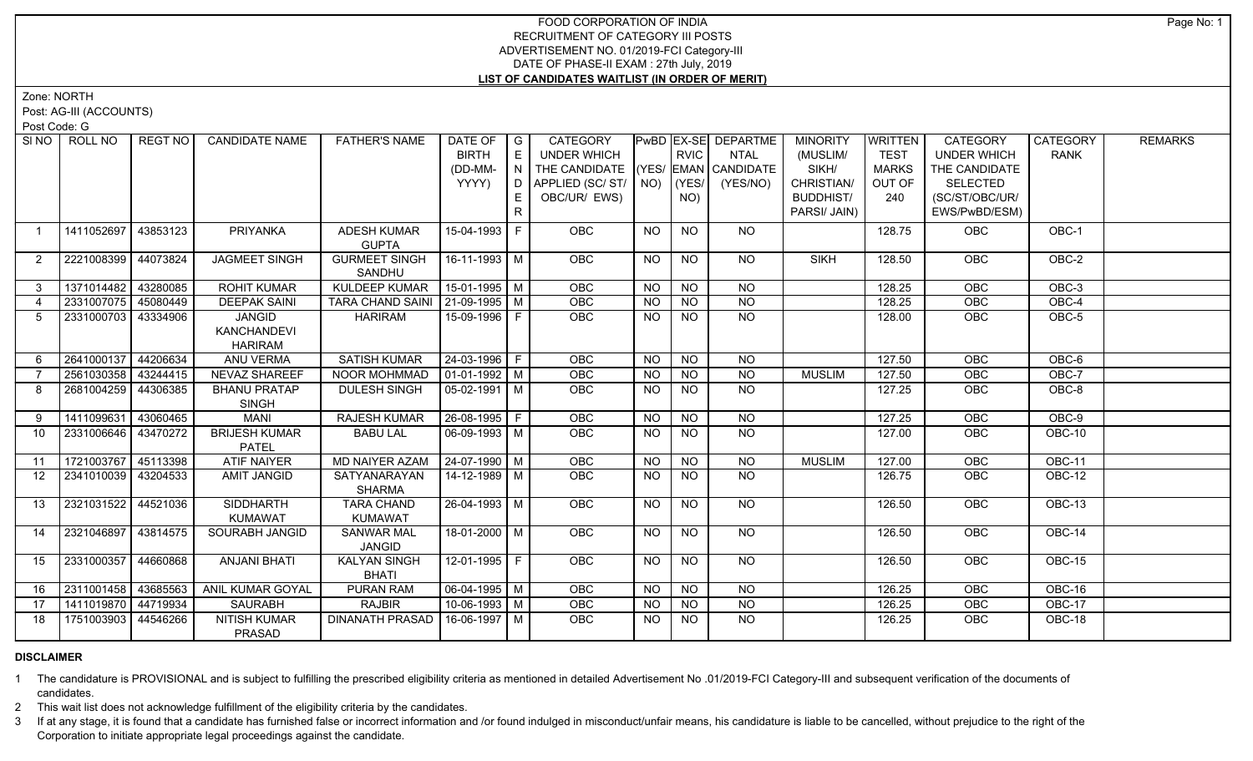Zone: NORTH

Post: AG-III (ACCOUNTS)

Post Code: G

| SI NO          | ROLL NO             | <b>REGT NO</b> | <b>CANDIDATE NAME</b>               | <b>FATHER'S NAME</b>              | DATE OF<br><b>BIRTH</b>    | $\overline{\phantom{a}}$ G<br>E | CATEGORY<br>UNDER WHICH            |           | <b>RVIC</b>    | PwBD EX-SE DEPARTME<br>NTAL | <b>MINORITY</b><br>(MUSLIM/ | <b>WRITTEN</b><br><b>TEST</b> | CATEGORY<br><b>UNDER WHICH</b> | CATEGORY<br><b>RANK</b> | <b>REMARKS</b> |
|----------------|---------------------|----------------|-------------------------------------|-----------------------------------|----------------------------|---------------------------------|------------------------------------|-----------|----------------|-----------------------------|-----------------------------|-------------------------------|--------------------------------|-------------------------|----------------|
|                |                     |                |                                     |                                   | (DD-MM-                    | IN.                             | THE CANDIDATE (YES/ EMAN CANDIDATE |           |                |                             | SIKH/                       | <b>MARKS</b>                  | THE CANDIDATE                  |                         |                |
|                |                     |                |                                     |                                   | YYYY)                      |                                 | D APPLIED (SC/ ST/ NO)             |           | (YES/          | (YES/NO)                    | CHRISTIAN/                  | OUT OF                        | <b>SELECTED</b>                |                         |                |
|                |                     |                |                                     |                                   |                            | E.                              | OBC/UR/ EWS)                       |           | NO)            |                             | <b>BUDDHIST/</b>            | 240                           | (SC/ST/OBC/UR/                 |                         |                |
|                |                     |                |                                     |                                   |                            | R.                              |                                    |           |                |                             | PARSI/ JAIN)                |                               | EWS/PwBD/ESM)                  |                         |                |
| $\overline{1}$ | 1411052697          | 43853123       | <b>PRIYANKA</b>                     | <b>ADESH KUMAR</b>                | 15-04-1993 F               |                                 | OBC                                | <b>NO</b> | <b>NO</b>      | NO                          |                             | 128.75                        | <b>OBC</b>                     | OBC-1                   |                |
|                |                     |                |                                     | <b>GUPTA</b>                      |                            |                                 |                                    |           |                |                             |                             |                               |                                |                         |                |
| 2              | 2221008399 44073824 |                | JAGMEET SINGH                       | <b>GURMEET SINGH</b>              | 16-11-1993 M               |                                 | OBC                                | <b>NO</b> | <b>NO</b>      | NO                          | <b>SIKH</b>                 | 128.50                        | OBC                            | OBC-2                   |                |
|                |                     |                |                                     | SANDHU                            |                            |                                 |                                    |           |                |                             |                             |                               |                                |                         |                |
| 3              | 1371014482 43280085 |                | <b>ROHIT KUMAR</b>                  | <b>KULDEEP KUMAR</b>              | $15 - 01 - 1995$ M         |                                 | OBC                                | <b>NO</b> | <b>NO</b>      | <b>NO</b>                   |                             | 128.25                        | OBC                            | OBC-3                   |                |
| $\overline{4}$ | 2331007075 45080449 |                | <b>DEEPAK SAINI</b>                 | TARA CHAND SAINI   21-09-1995   M |                            |                                 | OBC                                | <b>NO</b> | <b>NO</b>      | $\overline{NQ}$             |                             | 128.25                        | OBC                            | $OBC-4$                 |                |
| 5              | 2331000703 43334906 |                | <b>JANGID</b>                       | <b>HARIRAM</b>                    | 15-09-1996 F               |                                 | <b>OBC</b>                         | <b>NO</b> | NO.            | <b>NO</b>                   |                             | 128.00                        | OBC                            | $OBC-5$                 |                |
|                |                     |                | <b>KANCHANDEVI</b>                  |                                   |                            |                                 |                                    |           |                |                             |                             |                               |                                |                         |                |
|                |                     |                | <b>HARIRAM</b>                      |                                   |                            |                                 |                                    |           |                |                             |                             |                               |                                |                         |                |
| 6              | 2641000137 44206634 |                | ANU VERMA                           | <b>SATISH KUMAR</b>               | 24-03-1996 F               |                                 | <b>OBC</b>                         | <b>NO</b> | <b>NO</b>      | <b>NO</b>                   |                             | 127.50                        | OBC                            | OBC-6                   |                |
|                | 2561030358          | 43244415       | NEVAZ SHAREEF                       | NOOR MOHMMAD                      | 01-01-1992 M               |                                 | OBC                                | <b>NO</b> | <b>NO</b>      | <b>NO</b>                   | <b>MUSLIM</b>               | 127.50                        | OBC                            | OBC-7                   |                |
| 8              | 2681004259 44306385 |                | <b>BHANU PRATAP</b><br><b>SINGH</b> | <b>DULESH SINGH</b>               | 05-02-1991   M             |                                 | <b>OBC</b>                         | <b>NO</b> | <b>NO</b>      | <b>NO</b>                   |                             | 127.25                        | OBC                            | OBC-8                   |                |
| 9              | 1411099631 43060465 |                | <b>MANI</b>                         | <b>RAJESH KUMAR</b>               | 26-08-1995 F               |                                 | OBC                                | <b>NO</b> | <b>NO</b>      | <b>NO</b>                   |                             | 127.25                        | OBC                            | $OBC-9$                 |                |
| 10             | 2331006646 43470272 |                | <b>BRIJESH KUMAR</b>                | <b>BABU LAL</b>                   | $\boxed{06-09-1993}$ M     |                                 | OBC                                | <b>NO</b> | <b>NO</b>      | $\overline{NQ}$             |                             | 127.00                        | <b>OBC</b>                     | <b>OBC-10</b>           |                |
|                |                     |                | <b>PATEL</b>                        |                                   |                            |                                 |                                    |           |                |                             |                             |                               |                                |                         |                |
| 11             | 1721003767 45113398 |                | <b>ATIF NAIYER</b>                  | MD NAIYER AZAM                    | $24-07-1990$ M             |                                 | OBC                                | <b>NO</b> | <b>NO</b>      | N <sub>O</sub>              | <b>MUSLIM</b>               | 127.00                        | OBC                            | OBC-11                  |                |
| 12             | 2341010039 43204533 |                | AMIT JANGID                         | SATYANARAYAN<br>SHARMA            | 14-12-1989   M             |                                 | OBC                                | <b>NO</b> | <b>NO</b>      | $\overline{NO}$             |                             | 126.75                        | OBC                            | $OBC-12$                |                |
| 13             | 2321031522 44521036 |                | <b>SIDDHARTH</b>                    | <b>TARA CHAND</b>                 | 26-04-1993 M               |                                 | <b>OBC</b>                         | NO.       | NO.            | NO                          |                             | 126.50                        | OBC                            | OBC-13                  |                |
|                |                     |                | <b>KUMAWAT</b>                      | <b>KUMAWAT</b>                    |                            |                                 |                                    |           |                |                             |                             |                               |                                |                         |                |
| 14             | 2321046897 43814575 |                | SOURABH JANGID                      | <b>SANWAR MAL</b>                 | 18-01-2000 M               |                                 | <b>OBC</b>                         | <b>NO</b> | N <sub>O</sub> | $N$ <sup>O</sup>            |                             | 126.50                        | <b>OBC</b>                     | <b>OBC-14</b>           |                |
|                |                     |                |                                     | <b>JANGID</b>                     |                            |                                 |                                    |           |                |                             |                             |                               |                                |                         |                |
| 15             | 2331000357 44660868 |                | <b>ANJANI BHATI</b>                 | <b>KALYAN SINGH</b>               | 12-01-1995 F               |                                 | OBC                                | <b>NO</b> | <b>NO</b>      | <b>NO</b>                   |                             | 126.50                        | OBC                            | OBC-15                  |                |
|                |                     |                |                                     | <b>BHATI</b>                      |                            |                                 |                                    |           |                |                             |                             |                               |                                |                         |                |
| 16             | 2311001458 43685563 |                | <b>ANIL KUMAR GOYAL</b>             | PURAN RAM                         | $\boxed{06 - 04 - 1995}$ M |                                 | <b>OBC</b>                         | <b>NO</b> | <b>NO</b>      | <b>NO</b>                   |                             | 126.25                        | OBC                            | $OBC-16$                |                |
| 17             | 1411019870 44719934 |                | <b>SAURABH</b>                      | <b>RAJBIR</b>                     | $10-06-1993$ M             |                                 | OBC                                | <b>NO</b> | <b>NO</b>      | $\overline{NQ}$             |                             | 126.25                        | OBC                            | <b>OBC-17</b>           |                |
| 18             | 1751003903 44546266 |                | <b>NITISH KUMAR</b>                 | <b>DINANATH PRASAD</b>            | 16-06-1997   M             |                                 | <b>OBC</b>                         | <b>NO</b> | NO.            | NO                          |                             | 126.25                        | OBC                            | OBC-18                  |                |
|                |                     |                | PRASAD                              |                                   |                            |                                 |                                    |           |                |                             |                             |                               |                                |                         |                |
|                |                     |                |                                     |                                   |                            |                                 |                                    |           |                |                             |                             |                               |                                |                         |                |

# **DISCLAIMER**

1 The candidature is PROVISIONAL and is subject to fulfilling the prescribed eligibility criteria as mentioned in detailed Advertisement No .01/2019-FCI Category-III and subsequent verification of the documents of candidates.

2 This wait list does not acknowledge fulfillment of the eligibility criteria by the candidates.

3 If at any stage, it is found that a candidate has furnished false or incorrect information and /or found indulged in misconduct/unfair means, his candidature is liable to be cancelled, without prejudice to the right of t Corporation to initiate appropriate legal proceedings against the candidate.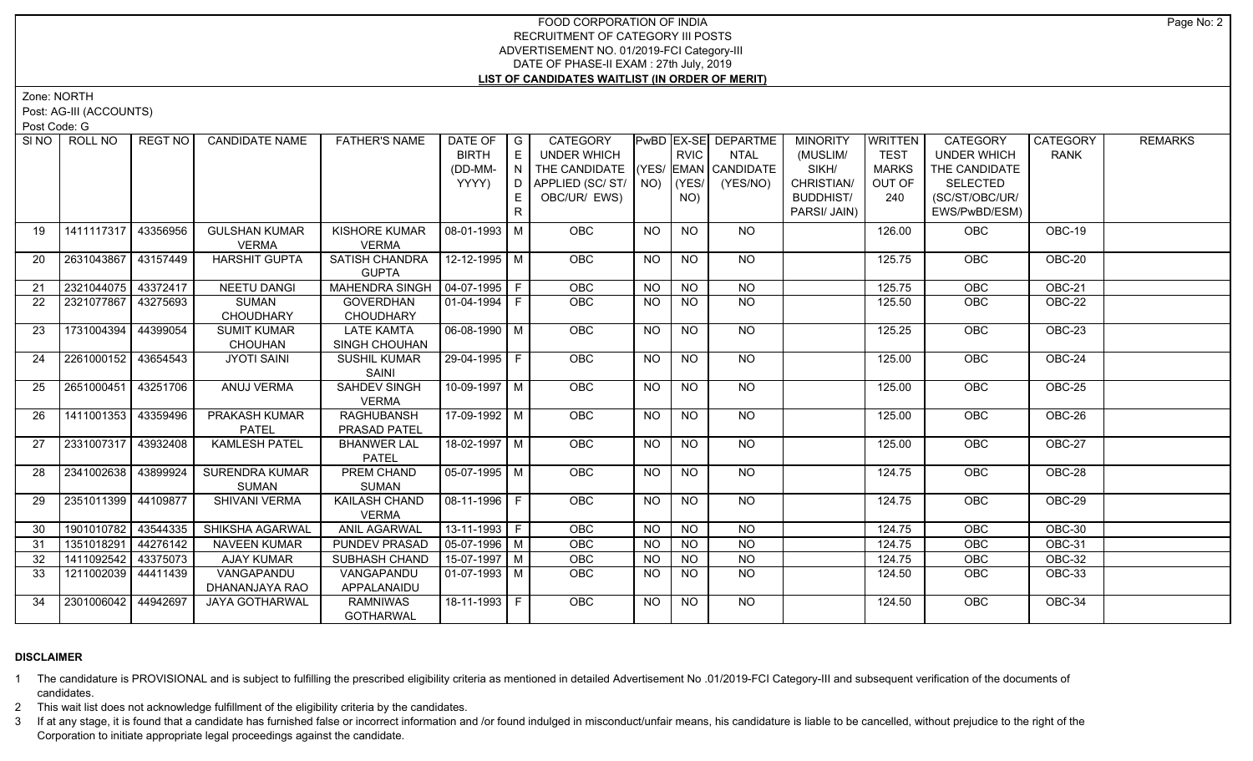Zone: NORTH

Post: AG-III (ACCOUNTS)

Post Code: G

| SINO              | ROLL NO             | <b>REGT NO</b> | <b>CANDIDATE NAME</b> | <b>FATHER'S NAME</b>  | DATE OF   G            |    | CATEGORY                           |           |             | PwBD EX-SE DEPARTME | <b>MINORITY</b>  | WRITTEN      | <b>CATEGORY</b>    | <b>CATEGORY</b> | <b>REMARKS</b> |
|-------------------|---------------------|----------------|-----------------------|-----------------------|------------------------|----|------------------------------------|-----------|-------------|---------------------|------------------|--------------|--------------------|-----------------|----------------|
|                   |                     |                |                       |                       | <b>BIRTH</b>           | E  | UNDER WHICH                        |           | <b>RVIC</b> | <b>NTAL</b>         | (MUSLIM/         | <b>TEST</b>  | <b>UNDER WHICH</b> | <b>RANK</b>     |                |
|                   |                     |                |                       |                       | (DD-MM-                |    | THE CANDIDATE (YES/ EMAN CANDIDATE |           |             |                     | SIKH/            | <b>MARKS</b> | THE CANDIDATE      |                 |                |
|                   |                     |                |                       |                       | YYYY)                  |    | D   APPLIED (SC/ ST/   NO)         |           | $ $ (YES/   | (YES/NO)            | CHRISTIAN/       | OUT OF       | <b>SELECTED</b>    |                 |                |
|                   |                     |                |                       |                       |                        | E. | OBC/UR/ EWS)                       |           | NO)         |                     | <b>BUDDHIST/</b> | 240          | (SC/ST/OBC/UR/     |                 |                |
|                   |                     |                |                       |                       |                        | R. |                                    |           |             |                     | PARSI/ JAIN)     |              | EWS/PwBD/ESM)      |                 |                |
| 19                | 1411117317 43356956 |                | <b>GULSHAN KUMAR</b>  | KISHORE KUMAR         | 08-01-1993   M         |    | <b>OBC</b>                         | <b>NO</b> | <b>NO</b>   | NO                  |                  | 126.00       | OBC                | OBC-19          |                |
|                   |                     |                | VERMA                 | <b>VERMA</b>          |                        |    |                                    |           |             |                     |                  |              |                    |                 |                |
| 20                | 2631043867 43157449 |                | <b>HARSHIT GUPTA</b>  | SATISH CHANDRA        | $12 - 12 - 1995$ M     |    | <b>OBC</b>                         | <b>NO</b> | <b>NO</b>   | <b>NO</b>           |                  | 125.75       | <b>OBC</b>         | OBC-20          |                |
|                   |                     |                |                       | <b>GUPTA</b>          |                        |    |                                    |           |             |                     |                  |              |                    |                 |                |
| 21                | 2321044075 43372417 |                | <b>NEETU DANGI</b>    | <b>MAHENDRA SINGH</b> | $ 04-07-1995 F$        |    | OBC                                | <b>NO</b> | <b>NO</b>   | <b>NO</b>           |                  | 125.75       | OBC                | OBC-21          |                |
| $22 \overline{ }$ | 2321077867 43275693 |                | SUMAN                 | <b>GOVERDHAN</b>      | 01-04-1994   F         |    | <b>OBC</b>                         | <b>NO</b> | NO.         | NO                  |                  | 125.50       | <b>OBC</b>         | OBC-22          |                |
|                   |                     |                | CHOUDHARY             | <b>CHOUDHARY</b>      |                        |    |                                    |           |             |                     |                  |              |                    |                 |                |
| 23                | 1731004394 44399054 |                | <b>SUMIT KUMAR</b>    | <b>LATE KAMTA</b>     | $\boxed{06-08-1990}$ M |    | OBC                                | <b>NO</b> | <b>NO</b>   | N <sub>O</sub>      |                  | 125.25       | OBC                | <b>OBC-23</b>   |                |
|                   |                     |                | <b>CHOUHAN</b>        | SINGH CHOUHAN         |                        |    |                                    |           |             |                     |                  |              |                    |                 |                |
| 24                | 2261000152 43654543 |                | <b>JYOTI SAINI</b>    | SUSHIL KUMAR          | $29-04-1995$ F         |    | <b>OBC</b>                         | <b>NO</b> | <b>NO</b>   | NO                  |                  | 125.00       | OBC                | OBC-24          |                |
|                   |                     |                |                       | SAINI                 |                        |    |                                    |           |             |                     |                  |              |                    |                 |                |
| 25                | 2651000451 43251706 |                | ANUJ VERMA            | <b>SAHDEV SINGH</b>   | $10-09-1997$ M         |    | <b>OBC</b>                         | <b>NO</b> | <b>NO</b>   | $N$ <sup>O</sup>    |                  | 125.00       | OBC                | <b>OBC-25</b>   |                |
|                   |                     |                |                       | <b>VERMA</b>          |                        |    |                                    |           |             |                     |                  |              |                    |                 |                |
| 26                | 1411001353 43359496 |                | PRAKASH KUMAR         | <b>RAGHUBANSH</b>     | 17-09-1992 M           |    | <b>OBC</b>                         | <b>NO</b> | <b>NO</b>   | <b>NO</b>           |                  | 125.00       | <b>OBC</b>         | OBC-26          |                |
|                   |                     |                | <b>PATEL</b>          | PRASAD PATEL          |                        |    |                                    |           |             |                     |                  |              |                    |                 |                |
| 27                | 2331007317 43932408 |                | <b>KAMLESH PATEL</b>  | <b>BHANWER LAL</b>    | $18-02-1997$ M         |    | OBC                                | <b>NO</b> | <b>NO</b>   | NO                  |                  | 125.00       | OBC                | OBC-27          |                |
|                   |                     |                |                       | <b>PATEL</b>          |                        |    |                                    |           |             |                     |                  |              |                    |                 |                |
| 28                | 2341002638          | 43899924       | <b>SURENDRA KUMAR</b> | <b>PREM CHAND</b>     | $\sqrt{05-07-1995}$ M  |    | OBC                                | <b>NO</b> | <b>NO</b>   | $N$ <sup>O</sup>    |                  | 124.75       | OBC                | $OBC-28$        |                |
|                   |                     |                | <b>SUMAN</b>          | <b>SUMAN</b>          |                        |    |                                    |           |             |                     |                  |              |                    |                 |                |
| 29                | 2351011399 44109877 |                | <b>SHIVANI VERMA</b>  | KAILASH CHAND         | 08-11-1996   F         |    | OBC                                | <b>NO</b> | NO.         | NO                  |                  | 124.75       | OBC                | OBC-29          |                |
|                   |                     |                |                       | <b>VERMA</b>          |                        |    |                                    |           |             |                     |                  |              |                    |                 |                |
| 30                | 1901010782          | 43544335       | SHIKSHA AGARWAL       | <b>ANIL AGARWAL</b>   | $13 - 11 - 1993$ F     |    | OBC                                | NO        | $N$ O       | $N$ O               |                  | 124.75       | <b>OBC</b>         | <b>OBC-30</b>   |                |
| 31                | 1351018291 44276142 |                | <b>NAVEEN KUMAR</b>   | PUNDEV PRASAD         | $\sqrt{05-07-1996}$ M  |    | OBC                                | <b>NO</b> | <b>NO</b>   | $N$ O               |                  | 124.75       | OBC                | <b>OBC-31</b>   |                |
| 32                | 1411092542 43375073 |                | <b>AJAY KUMAR</b>     | SUBHASH CHAND         | $15-07-1997$ M         |    | OBC                                | <b>NO</b> | <b>NO</b>   | <b>NO</b>           |                  | 124.75       | OBC                | <b>OBC-32</b>   |                |
| 33                | 1211002039 44411439 |                | VANGAPANDU            | VANGAPANDU            | $01-07-1993$ M         |    | <b>OBC</b>                         | <b>NO</b> | <b>NO</b>   | NO                  |                  | 124.50       | <b>OBC</b>         | OBC-33          |                |
|                   |                     |                | DHANANJAYA RAO        | APPALANAIDU           |                        |    |                                    |           |             |                     |                  |              |                    |                 |                |
| 34                | 2301006042 44942697 |                | <b>JAYA GOTHARWAL</b> | <b>RAMNIWAS</b>       | 18-11-1993 F           |    | <b>OBC</b>                         | NO.       | <b>NO</b>   | <b>NO</b>           |                  | 124.50       | OBC                | OBC-34          |                |
|                   |                     |                |                       | <b>GOTHARWAL</b>      |                        |    |                                    |           |             |                     |                  |              |                    |                 |                |

# **DISCLAIMER**

1 The candidature is PROVISIONAL and is subject to fulfilling the prescribed eligibility criteria as mentioned in detailed Advertisement No .01/2019-FCI Category-III and subsequent verification of the documents of candidates.

2 This wait list does not acknowledge fulfillment of the eligibility criteria by the candidates.

3 If at any stage, it is found that a candidate has furnished false or incorrect information and /or found indulged in misconduct/unfair means, his candidature is liable to be cancelled, without prejudice to the right of t Corporation to initiate appropriate legal proceedings against the candidate.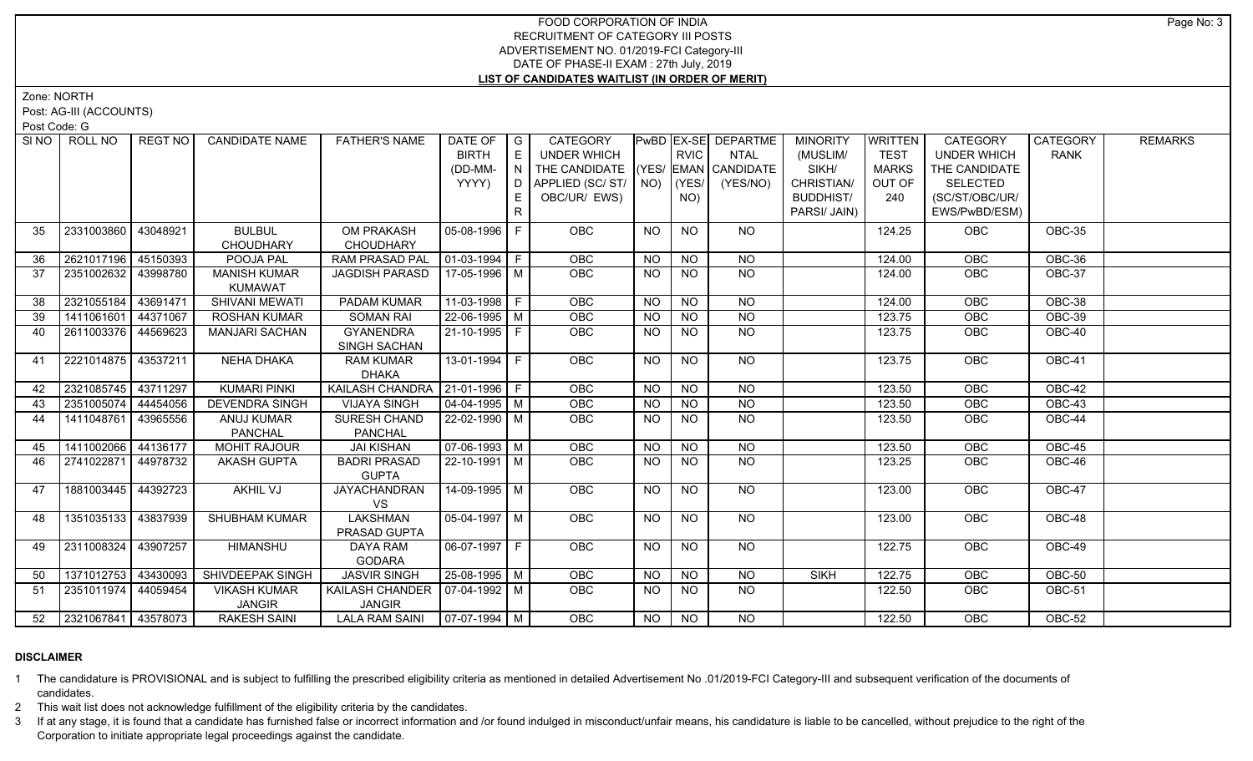Zone: NORTH

Post: AG-III (ACCOUNTS)

Post Code: G

| SI <sub>NO</sub> | ROLL NO               | <b>REGT NO</b> | <b>CANDIDATE NAME</b>                | <b>FATHER'S NAME</b>                | DATE OF<br><b>BIRTH</b><br>(DD-MM-<br>YYYY) | I G<br>E<br>N<br>E.<br>R | CATEGORY<br>UNDER WHICH<br>THE CANDIDATE (YES/ EMAN CANDIDATE<br>D APPLIED (SC/ ST/ NO)<br>OBC/UR/ EWS) |           | <b>RVIC</b><br>$ $ (YES/<br>NO) | PwBD EX-SE DEPARTME<br><b>NTAL</b><br>(YES/NO) | <b>MINORITY</b><br>(MUSLIM/<br>SIKH/<br>CHRISTIAN/<br><b>BUDDHIST/</b><br>PARSI/ JAIN) | <b>WRITTEN</b><br><b>TEST</b><br><b>MARKS</b><br>OUT OF<br>240 | <b>CATEGORY</b><br><b>UNDER WHICH</b><br>THE CANDIDATE<br><b>SELECTED</b><br>(SC/ST/OBC/UR/<br>EWS/PwBD/ESM) | CATEGORY<br><b>RANK</b> | <b>REMARKS</b> |
|------------------|-----------------------|----------------|--------------------------------------|-------------------------------------|---------------------------------------------|--------------------------|---------------------------------------------------------------------------------------------------------|-----------|---------------------------------|------------------------------------------------|----------------------------------------------------------------------------------------|----------------------------------------------------------------|--------------------------------------------------------------------------------------------------------------|-------------------------|----------------|
| 35               | 2331003860            | 43048921       | <b>BULBUL</b><br><b>CHOUDHARY</b>    | OM PRAKASH<br><b>CHOUDHARY</b>      | 05-08-1996 F                                |                          | <b>OBC</b>                                                                                              | <b>NO</b> | <b>NO</b>                       | NO.                                            |                                                                                        | 124.25                                                         | <b>OBC</b>                                                                                                   | OBC-35                  |                |
| 36               | 2621017196 45150393   |                | POOJA PAL                            | <b>RAM PRASAD PAL</b>               | $\boxed{01-03-1994}$ F                      |                          | OBC                                                                                                     | <b>NO</b> | <b>NO</b>                       | <b>NO</b>                                      |                                                                                        | 124.00                                                         | OBC                                                                                                          | OBC-36                  |                |
| -37              | 2351002632 43998780   |                | <b>MANISH KUMAR</b><br>KUMAWAT       | JAGDISH PARASD                      | 17-05-1996 M                                |                          | <b>OBC</b>                                                                                              | <b>NO</b> | <b>NO</b>                       | <b>NO</b>                                      |                                                                                        | 124.00                                                         | OBC                                                                                                          | OBC-37                  |                |
| 38               | 2321055184            | 43691471       | <b>SHIVANI MEWATI</b>                | PADAM KUMAR                         | $11-03-1998$ F                              |                          | OBC                                                                                                     | <b>NO</b> | <b>NO</b>                       | <b>NO</b>                                      |                                                                                        | 124.00                                                         | OBC                                                                                                          | OBC-38                  |                |
| 39               | 1411061601 44371067   |                | <b>ROSHAN KUMAR</b>                  | <b>SOMAN RAI</b>                    | $22 - 06 - 1995$ M                          |                          | OBC                                                                                                     | <b>NO</b> | <b>NO</b>                       | <b>NO</b>                                      |                                                                                        | 123.75                                                         | OBC                                                                                                          | OBC-39                  |                |
| 40               | 2611003376 44569623   |                | <b>MANJARI SACHAN</b>                | <b>GYANENDRA</b><br>SINGH SACHAN    | 21-10-1995 F                                |                          | OBC                                                                                                     | <b>NO</b> | <b>NO</b>                       | <b>NO</b>                                      |                                                                                        | 123.75                                                         | OBC                                                                                                          | OBC-40                  |                |
| 41               | 2221014875 43537211   |                | NEHA DHAKA                           | <b>RAM KUMAR</b><br><b>DHAKA</b>    | 13-01-1994   F                              |                          | <b>OBC</b>                                                                                              | <b>NO</b> | <b>NO</b>                       | NO                                             |                                                                                        | 123.75                                                         | <b>OBC</b>                                                                                                   | OBC-41                  |                |
| 42               | 2321085745 43711297   |                | <b>KUMARI PINKI</b>                  | KAILASH CHANDRA   21-01-1996   F    |                                             |                          | OBC                                                                                                     | <b>NO</b> | <b>NO</b>                       | <b>NO</b>                                      |                                                                                        | 123.50                                                         | OBC                                                                                                          | OBC-42                  |                |
| 43               | 2351005074 44454056   |                | <b>DEVENDRA SINGH</b>                | <b>VIJAYA SINGH</b>                 | $\sqrt{04-04-1995}$ M                       |                          | OBC                                                                                                     | <b>NO</b> | <b>NO</b>                       | <b>NO</b>                                      |                                                                                        | 123.50                                                         | OBC                                                                                                          | <b>OBC-43</b>           |                |
| 44               | 1411048761            | 43965556       | ANUJ KUMAR<br>PANCHAL                | SURESH CHAND<br><b>PANCHAL</b>      | 22-02-1990   M                              |                          | OBC                                                                                                     | <b>NO</b> | <b>NO</b>                       | <b>NO</b>                                      |                                                                                        | 123.50                                                         | OBC                                                                                                          | OBC-44                  |                |
| 45               | 1411002066            | 44136177       | <b>MOHIT RAJOUR</b>                  | <b>JAI KISHAN</b>                   | $\sqrt{07-06-1993}$ M                       |                          | <b>OBC</b>                                                                                              | <b>NO</b> | <b>NO</b>                       | $N$ O                                          |                                                                                        | 123.50                                                         | OBC                                                                                                          | <b>OBC-45</b>           |                |
| 46               | 2741022871 44978732   |                | <b>AKASH GUPTA</b>                   | <b>BADRI PRASAD</b><br><b>GUPTA</b> | $\sqrt{22-10-1991}$ M                       |                          | <b>OBC</b>                                                                                              | <b>NO</b> | <b>NO</b>                       | <b>NO</b>                                      |                                                                                        | 123.25                                                         | <b>OBC</b>                                                                                                   | OBC-46                  |                |
| 47               | 1881003445   44392723 |                | AKHIL VJ                             | <b>JAYACHANDRAN</b><br><b>VS</b>    | 14-09-1995   M                              |                          | <b>OBC</b>                                                                                              | NO.       | NO.                             | NO.                                            |                                                                                        | 123.00                                                         | OBC                                                                                                          | OBC-47                  |                |
| 48               | 1351035133 43837939   |                | <b>SHUBHAM KUMAR</b>                 | <b>LAKSHMAN</b><br>PRASAD GUPTA     | $\sqrt{05-04-1997}$ M                       |                          | <b>OBC</b>                                                                                              | <b>NO</b> | NO.                             | NO                                             |                                                                                        | 123.00                                                         | OBC                                                                                                          | OBC-48                  |                |
| 49               | 2311008324            | 43907257       | <b>HIMANSHU</b>                      | DAYA RAM<br><b>GODARA</b>           | 06-07-1997 F                                |                          | <b>OBC</b>                                                                                              | NO.       | <b>NO</b>                       | <b>NO</b>                                      |                                                                                        | 122.75                                                         | OBC                                                                                                          | OBC-49                  |                |
| 50               | 1371012753 43430093   |                | SHIVDEEPAK SINGH                     | <b>JASVIR SINGH</b>                 | $25 - 08 - 1995$ M                          |                          | OBC                                                                                                     | NO.       | NO.                             | <b>NO</b>                                      | <b>SIKH</b>                                                                            | 122.75                                                         | OBC                                                                                                          | OBC-50                  |                |
| 51               | 2351011974 44059454   |                | <b>VIKASH KUMAR</b><br><b>JANGIR</b> | KAILASH CHANDER<br><b>JANGIR</b>    | $ 07-04-1992 M$                             |                          | <b>OBC</b>                                                                                              | <b>NO</b> | NO.                             | NO.                                            |                                                                                        | 122.50                                                         | <b>OBC</b>                                                                                                   | OBC-51                  |                |
| 52               | 2321067841 43578073   |                | <b>RAKESH SAINI</b>                  | LALA RAM SAINI                      | $\sqrt{07-07-1994}$ M                       |                          | <b>OBC</b>                                                                                              | NO.       | NO                              | NO.                                            |                                                                                        | 122.50                                                         | OBC                                                                                                          | $OBC-52$                |                |

# **DISCLAIMER**

1 The candidature is PROVISIONAL and is subject to fulfilling the prescribed eligibility criteria as mentioned in detailed Advertisement No .01/2019-FCI Category-III and subsequent verification of the documents of candidates.

2 This wait list does not acknowledge fulfillment of the eligibility criteria by the candidates.

3 If at any stage, it is found that a candidate has furnished false or incorrect information and /or found indulged in misconduct/unfair means, his candidature is liable to be cancelled, without prejudice to the right of t Corporation to initiate appropriate legal proceedings against the candidate.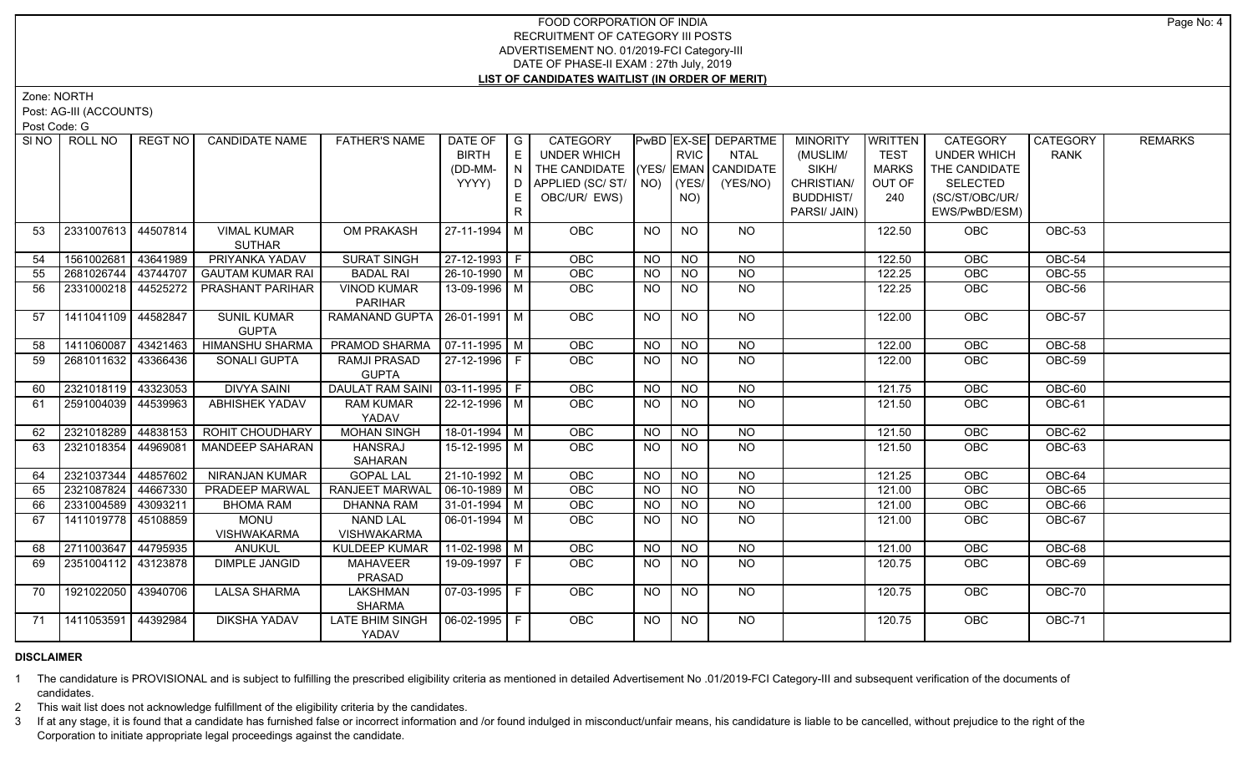Zone: NORTH

Post: AG-III (ACCOUNTS)

Post Code: G

| SI NO | ROLL NO             | REGT NO  | <b>CANDIDATE NAME</b>   | <b>FATHER'S NAME</b>              | DATE OF                      | $\overline{\phantom{a}}$ G | CATEGORY                           |                |             | PwBD EX-SE DEPARTME | <b>MINORITY</b>  | WRITTEN      | CATEGORY           | CATEGORY      | <b>REMARKS</b> |
|-------|---------------------|----------|-------------------------|-----------------------------------|------------------------------|----------------------------|------------------------------------|----------------|-------------|---------------------|------------------|--------------|--------------------|---------------|----------------|
|       |                     |          |                         |                                   | <b>BIRTH</b>                 | E                          | UNDER WHICH                        |                | <b>RVIC</b> | <b>NTAL</b>         | (MUSLIM/         | <b>TEST</b>  | <b>UNDER WHICH</b> | <b>RANK</b>   |                |
|       |                     |          |                         |                                   | (DD-MM-                      | N                          | THE CANDIDATE (YES/ EMAN CANDIDATE |                |             |                     | SIKH/            | <b>MARKS</b> | THE CANDIDATE      |               |                |
|       |                     |          |                         |                                   | YYYY)                        | D                          | APPLIED (SC/ ST/   NO)             |                | (YES/       | (YES/NO)            | CHRISTIAN/       | OUT OF       | <b>SELECTED</b>    |               |                |
|       |                     |          |                         |                                   |                              | E.                         | OBC/UR/ EWS)                       |                | NO)         |                     | <b>BUDDHIST/</b> | 240          | (SC/ST/OBC/UR/     |               |                |
|       |                     |          |                         |                                   |                              | R.                         |                                    |                |             |                     | PARSI/ JAIN)     |              | EWS/PwBD/ESM)      |               |                |
| 53    | 2331007613 44507814 |          | <b>VIMAL KUMAR</b>      | OM PRAKASH                        | 27-11-1994 M                 |                            | <b>OBC</b>                         | <b>NO</b>      | <b>NO</b>   | NO                  |                  | 122.50       | <b>OBC</b>         | OBC-53        |                |
|       |                     |          | <b>SUTHAR</b>           |                                   |                              |                            |                                    |                |             |                     |                  |              |                    |               |                |
| 54    | 1561002681 43641989 |          | PRIYANKA YADAV          | <b>SURAT SINGH</b>                | 27-12-1993 F                 |                            | <b>OBC</b>                         | <b>NO</b>      | <b>NO</b>   | <b>NO</b>           |                  | 122.50       | OBC                | OBC-54        |                |
| 55    | 2681026744          | 43744707 | <b>GAUTAM KUMAR RAI</b> | <b>BADAL RAI</b>                  | $26 - 10 - 1990$ M           |                            | OBC                                | <b>NO</b>      | <b>NO</b>   | $\overline{N}$      |                  | 122.25       | OBC                | OBC-55        |                |
| 56    | 2331000218 44525272 |          | PRASHANT PARIHAR        | <b>VINOD KUMAR</b>                | 13-09-1996 M                 |                            | OBC                                | <b>NO</b>      | NO.         | <b>NO</b>           |                  | 122.25       | OBC                | OBC-56        |                |
|       |                     |          |                         | <b>PARIHAR</b>                    |                              |                            |                                    |                |             |                     |                  |              |                    |               |                |
| 57    | 1411041109 44582847 |          | <b>SUNIL KUMAR</b>      | RAMANAND GUPTA   26-01-1991   M   |                              |                            | <b>OBC</b>                         | NO             | <b>NO</b>   | NO                  |                  | 122.00       | <b>OBC</b>         | OBC-57        |                |
|       |                     |          | <b>GUPTA</b>            |                                   |                              |                            |                                    |                |             |                     |                  |              |                    |               |                |
| 58    | 1411060087 43421463 |          | <b>HIMANSHU SHARMA</b>  | PRAMOD SHARMA   07-11-1995   M    |                              |                            | OBC                                | <b>NO</b>      | <b>NO</b>   | <b>NO</b>           |                  | 122.00       | OBC                | $OBC-58$      |                |
| 59    | 2681011632 43366436 |          | SONALI GUPTA            | RAMJI PRASAD                      | 27-12-1996 F                 |                            | OBC                                | <b>NO</b>      | <b>NO</b>   | NO                  |                  | 122.00       | OBC                | OBC-59        |                |
|       |                     |          |                         | <b>GUPTA</b>                      |                              |                            |                                    |                |             |                     |                  |              |                    |               |                |
| 60    | 2321018119 43323053 |          | <b>DIVYA SAINI</b>      | DAULAT RAM SAINI   03-11-1995   F |                              |                            | OBC                                | N <sub>O</sub> | $N$ O       | $N$ <sup>O</sup>    |                  | 121.75       | OBC                | <b>OBC-60</b> |                |
| 61    | 2591004039 44539963 |          | <b>ABHISHEK YADAV</b>   | <b>RAM KUMAR</b><br>YADAV         | $22 - 12 - 1996$ M           |                            | OBC                                | <b>NO</b>      | NO          | $N$ O               |                  | 121.50       | <b>OBC</b>         | <b>OBC-61</b> |                |
| 62    | 2321018289 44838153 |          | ROHIT CHOUDHARY         | <b>MOHAN SINGH</b>                | $18-01-1994$ M               |                            | <b>OBC</b>                         | <b>NO</b>      | <b>NO</b>   | $N$ <sup>O</sup>    |                  | 121.50       | <b>OBC</b>         | OBC-62        |                |
| 63    | 2321018354          | 44969081 | <b>MANDEEP SAHARAN</b>  | <b>HANSRAJ</b>                    | 15-12-1995 M                 |                            | OBC                                | <b>NO</b>      | <b>NO</b>   | <b>NO</b>           |                  | 121.50       | OBC                | OBC-63        |                |
|       |                     |          |                         | SAHARAN                           |                              |                            |                                    |                |             |                     |                  |              |                    |               |                |
| 64    | 2321037344          | 44857602 | <b>NIRANJAN KUMAR</b>   | <b>GOPAL LAL</b>                  | 21-10-1992 M                 |                            | OBC                                | <b>NO</b>      | <b>NO</b>   | <b>NO</b>           |                  | 121.25       | OBC                | OBC-64        |                |
| 65    | 2321087824          | 44667330 | PRADEEP MARWAL          | <b>RANJEET MARWAL</b>             | $\vert$ 06-10-1989 $\vert$ M |                            | <b>OBC</b>                         | <b>NO</b>      | <b>NO</b>   | <b>NO</b>           |                  | 121.00       | OBC                | OBC-65        |                |
| 66    | 2331004589 43093211 |          | <b>BHOMA RAM</b>        | <b>DHANNA RAM</b>                 | $31-01-1994$ M               |                            | OBC                                | <b>NO</b>      | <b>NO</b>   | <b>NO</b>           |                  | 121.00       | OBC                | $OBC-66$      |                |
| 67    | 1411019778 45108859 |          | <b>MONU</b>             | <b>NAND LAL</b>                   | $06 - 01 - 1994$ M           |                            | OBC                                | <b>NO</b>      | <b>NO</b>   | <b>NO</b>           |                  | 121.00       | <b>OBC</b>         | OBC-67        |                |
|       |                     |          | <b>VISHWAKARMA</b>      | <b>VISHWAKARMA</b>                |                              |                            |                                    |                |             |                     |                  |              |                    |               |                |
| 68    | 2711003647 44795935 |          | <b>ANUKUL</b>           | <b>KULDEEP KUMAR</b>              | 11-02-1998   M               |                            | OBC                                | <b>NO</b>      | <b>NO</b>   | <b>NO</b>           |                  | 121.00       | OBC                | OBC-68        |                |
| 69    | 2351004112 43123878 |          | <b>DIMPLE JANGID</b>    | <b>MAHAVEER</b>                   | 19-09-1997 F                 |                            | OBC                                | NO.            | NO          | NO                  |                  | 120.75       | <b>OBC</b>         | OBC-69        |                |
|       |                     |          |                         | PRASAD                            |                              |                            |                                    |                |             |                     |                  |              |                    |               |                |
| 70    | 1921022050 43940706 |          | <b>LALSA SHARMA</b>     | LAKSHMAN                          | 07-03-1995   F               |                            | <b>OBC</b>                         | <b>NO</b>      | NO.         | NO                  |                  | 120.75       | <b>OBC</b>         | OBC-70        |                |
|       |                     |          |                         | <b>SHARMA</b>                     |                              |                            |                                    |                |             |                     |                  |              |                    |               |                |
| 71    | 1411053591 44392984 |          | <b>DIKSHA YADAV</b>     | <b>LATE BHIM SINGH</b>            |                              |                            | OBC                                | <b>NO</b>      | <b>NO</b>   | N <sub>O</sub>      |                  | 120.75       | OBC                | <b>OBC-71</b> |                |
|       |                     |          |                         | YADAV                             |                              |                            |                                    |                |             |                     |                  |              |                    |               |                |

# **DISCLAIMER**

1 The candidature is PROVISIONAL and is subject to fulfilling the prescribed eligibility criteria as mentioned in detailed Advertisement No .01/2019-FCI Category-III and subsequent verification of the documents of candidates.

2 This wait list does not acknowledge fulfillment of the eligibility criteria by the candidates.

3 If at any stage, it is found that a candidate has furnished false or incorrect information and /or found indulged in misconduct/unfair means, his candidature is liable to be cancelled, without prejudice to the right of t Corporation to initiate appropriate legal proceedings against the candidate.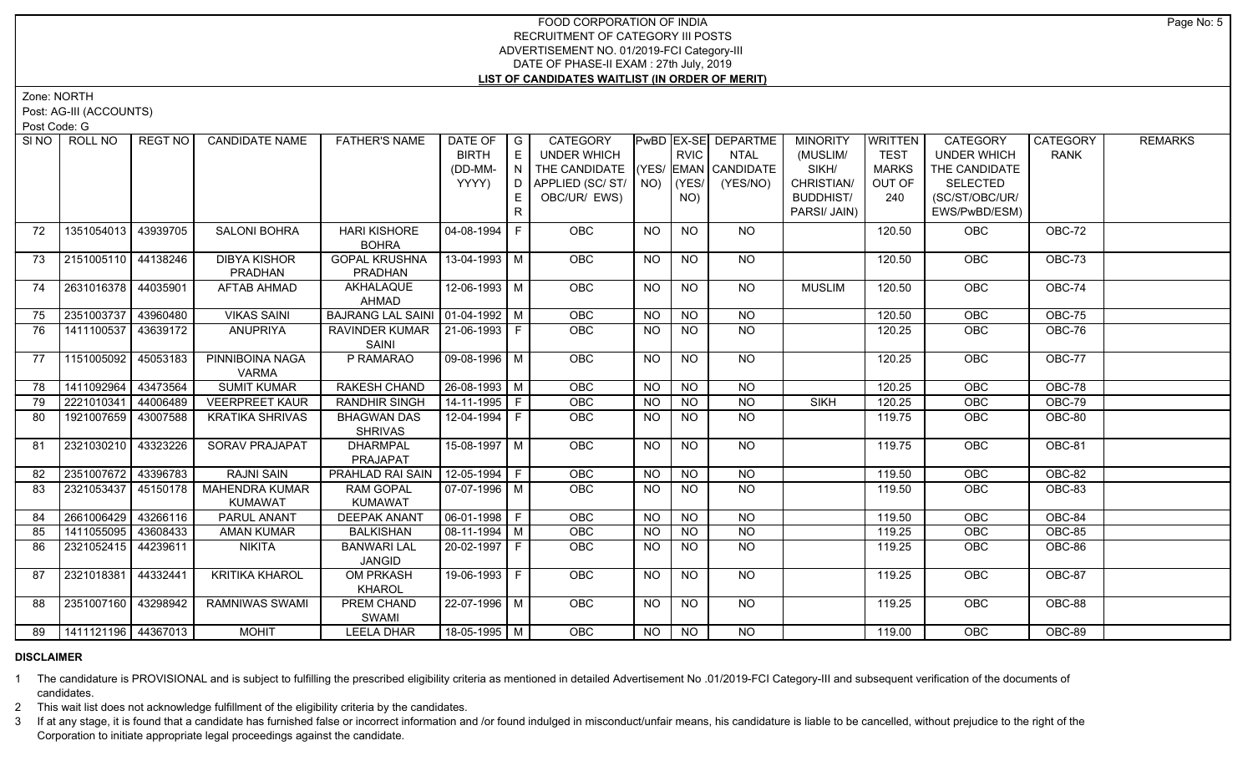Zone: NORTH

Post: AG-III (ACCOUNTS)

Post Code: G

| SI <sub>NO</sub> | ROLL NO             | <b>REGT NO</b> | <b>CANDIDATE NAME</b>           | <b>FATHER'S NAME</b>                | DATE OF $ G $<br><b>BIRTH</b> | E   | CATEGORY<br>UNDER WHICH                                          |                | <b>RVIC</b>    | PwBD EX-SE DEPARTME<br><b>NTAL</b> | <b>MINORITY</b><br>(MUSLIM/ | <b>WRITTEN</b><br><b>TEST</b> | CATEGORY<br><b>UNDER WHICH</b>   | CATEGORY<br><b>RANK</b> | <b>REMARKS</b> |
|------------------|---------------------|----------------|---------------------------------|-------------------------------------|-------------------------------|-----|------------------------------------------------------------------|----------------|----------------|------------------------------------|-----------------------------|-------------------------------|----------------------------------|-------------------------|----------------|
|                  |                     |                |                                 |                                     |                               |     |                                                                  |                |                |                                    |                             |                               |                                  |                         |                |
|                  |                     |                |                                 |                                     | (DD-MM-<br>YYYY)              | IN. | THE CANDIDATE (YES/ EMAN CANDIDATE<br>D   APPLIED (SC/ ST/   NO) |                | (YES/          | (YES/NO)                           | SIKH/<br>CHRISTIAN/         | <b>MARKS</b><br>OUT OF        | THE CANDIDATE<br><b>SELECTED</b> |                         |                |
|                  |                     |                |                                 |                                     |                               |     |                                                                  |                |                |                                    |                             | 240                           |                                  |                         |                |
|                  |                     |                |                                 |                                     |                               | E.  | OBC/UR/ EWS)                                                     |                | NO)            |                                    | <b>BUDDHIST/</b>            |                               | (SC/ST/OBC/UR/                   |                         |                |
|                  |                     |                |                                 |                                     |                               | R   |                                                                  |                |                |                                    | PARSI/ JAIN)                |                               | EWS/PwBD/ESM)                    |                         |                |
| 72               | 1351054013          | 43939705       | <b>SALONI BOHRA</b>             | <b>HARI KISHORE</b><br><b>BOHRA</b> | 04-08-1994 F                  |     | OBC                                                              | <b>NO</b>      | <b>NO</b>      | <b>NO</b>                          |                             | 120.50                        | <b>OBC</b>                       | OBC-72                  |                |
| 73               | 2151005110 44138246 |                | <b>DIBYA KISHOR</b>             | <b>GOPAL KRUSHNA</b>                | 13-04-1993 M                  |     | <b>OBC</b>                                                       | NO.            | <b>NO</b>      | NO.                                |                             | 120.50                        | <b>OBC</b>                       | OBC-73                  |                |
|                  |                     |                | PRADHAN                         | PRADHAN                             |                               |     |                                                                  |                |                |                                    |                             |                               |                                  |                         |                |
| 74               | 2631016378 44035901 |                | AFTAB AHMAD                     | AKHALAQUE                           | $12 - 06 - 1993$ M            |     | <b>OBC</b>                                                       | <b>NO</b>      | <b>NO</b>      | NO                                 | <b>MUSLIM</b>               | 120.50                        | <b>OBC</b>                       | OBC-74                  |                |
|                  |                     |                |                                 | AHMAD                               |                               |     |                                                                  |                |                |                                    |                             |                               |                                  |                         |                |
| 75               | 2351003737 43960480 |                | <b>VIKAS SAINI</b>              | BAJRANG LAL SAINI   01-04-1992   M  |                               |     | OBC                                                              | N <sub>O</sub> | N <sub>O</sub> | $\overline{NO}$                    |                             | 120.50                        | OBC                              | <b>OBC-75</b>           |                |
| 76               | 1411100537 43639172 |                | <b>ANUPRIYA</b>                 | RAVINDER KUMAR   21-06-1993   F     |                               |     | OBC                                                              | <b>NO</b>      | NO.            | <b>NO</b>                          |                             | 120.25                        | <b>OBC</b>                       | OBC-76                  |                |
|                  |                     |                |                                 | SAINI                               |                               |     |                                                                  |                |                |                                    |                             |                               |                                  |                         |                |
| - 77             | 1151005092 45053183 |                | PINNIBOINA NAGA<br><b>VARMA</b> | P RAMARAO                           | 09-08-1996   M                |     | OBC                                                              | <b>NO</b>      | <b>NO</b>      | NO                                 |                             | 120.25                        | <b>OBC</b>                       | OBC-77                  |                |
| 78               | 1411092964          | 43473564       | <b>SUMIT KUMAR</b>              | <b>RAKESH CHAND</b>                 | $26 - 08 - 1993$ M            |     | <b>OBC</b>                                                       | <b>NO</b>      | <b>NO</b>      | <b>NO</b>                          |                             | 120.25                        | OBC                              | OBC-78                  |                |
| 79               | 2221010341 44006489 |                | <b>VEERPREET KAUR</b>           | <b>RANDHIR SINGH</b>                | $14 - 11 - 1995$ F            |     | OBC                                                              | <b>NO</b>      | <b>NO</b>      | <b>NO</b>                          | <b>SIKH</b>                 | 120.25                        | OBC                              | <b>OBC-79</b>           |                |
| 80               | 1921007659 43007588 |                | <b>KRATIKA SHRIVAS</b>          | <b>BHAGWAN DAS</b>                  | 12-04-1994   F                |     | <b>OBC</b>                                                       | NO.            | NO.            | <b>NO</b>                          |                             | 119.75                        | <b>OBC</b>                       | <b>OBC-80</b>           |                |
|                  |                     |                |                                 | <b>SHRIVAS</b>                      |                               |     |                                                                  |                |                |                                    |                             |                               |                                  |                         |                |
| 81               | 2321030210 43323226 |                | <b>SORAV PRAJAPAT</b>           | <b>DHARMPAL</b>                     | $15-08-1997$ M                |     | OBC                                                              | <b>NO</b>      | <b>NO</b>      | <b>NO</b>                          |                             | 119.75                        | OBC                              | OBC-81                  |                |
|                  |                     |                |                                 | PRAJAPAT                            |                               |     |                                                                  |                |                |                                    |                             |                               |                                  |                         |                |
| 82               | 2351007672 43396783 |                | <b>RAJNI SAIN</b>               | PRAHLAD RAI SAIN   12-05-1994   F   |                               |     | OBC                                                              | <b>NO</b>      | <b>NO</b>      | NO                                 |                             | 119.50                        | OBC                              | OBC-82                  |                |
| 83               | 2321053437 45150178 |                | <b>MAHENDRA KUMAR</b>           | <b>RAM GOPAL</b>                    | 07-07-1996   M                |     | <b>OBC</b>                                                       | <b>NO</b>      | <b>NO</b>      | NO                                 |                             | 119.50                        | <b>OBC</b>                       | OBC-83                  |                |
|                  |                     |                | KUMAWAT                         | <b>KUMAWAT</b>                      |                               |     |                                                                  |                |                |                                    |                             |                               |                                  |                         |                |
| 84               | 2661006429          | 43266116       | PARUL ANANT                     | <b>DEEPAK ANANT</b>                 | $\boxed{06-01-1998}$ F        |     | OBC                                                              | N <sub>O</sub> | N <sub>O</sub> | N <sub>O</sub>                     |                             | 119.50                        | OBC                              | OBC-84                  |                |
| 85               | 1411055095 43608433 |                | <b>AMAN KUMAR</b>               | <b>BALKISHAN</b>                    | $\boxed{08-11-1994}$ M        |     | OBC                                                              | <b>NO</b>      | <b>NO</b>      | <b>NO</b>                          |                             | 119.25                        | OBC                              | <b>OBC-85</b>           |                |
| 86               | 2321052415          | 44239611       | <b>NIKITA</b>                   | <b>BANWARI LAL</b>                  | $20 - 02 - 1997$ F            |     | <b>OBC</b>                                                       | <b>NO</b>      | <b>NO</b>      | N <sub>O</sub>                     |                             | 119.25                        | OBC                              | OBC-86                  |                |
|                  |                     |                |                                 | <b>JANGID</b>                       |                               |     |                                                                  |                |                |                                    |                             |                               |                                  |                         |                |
| 87               | 2321018381 44332441 |                | <b>KRITIKA KHAROL</b>           | <b>OM PRKASH</b>                    | 19-06-1993 F                  |     | <b>OBC</b>                                                       | NO             | <b>NO</b>      | NO                                 |                             | 119.25                        | <b>OBC</b>                       | OBC-87                  |                |
|                  |                     |                |                                 | <b>KHAROL</b>                       |                               |     |                                                                  |                |                |                                    |                             |                               |                                  |                         |                |
| 88               | 2351007160 43298942 |                | RAMNIWAS SWAMI                  | PREM CHAND<br>SWAMI                 | $22-07-1996$ M                |     | <b>OBC</b>                                                       | <b>NO</b>      | <b>NO</b>      | NO                                 |                             | 119.25                        | <b>OBC</b>                       | OBC-88                  |                |
| 89               | 1411121196 44367013 |                | <b>MOHIT</b>                    | <b>LEELA DHAR</b>                   | 18-05-1995 M                  |     | <b>OBC</b>                                                       | NO             | NO             | <b>NO</b>                          |                             | 119.00                        | OBC                              | OBC-89                  |                |
|                  |                     |                |                                 |                                     |                               |     |                                                                  |                |                |                                    |                             |                               |                                  |                         |                |

# **DISCLAIMER**

1 The candidature is PROVISIONAL and is subject to fulfilling the prescribed eligibility criteria as mentioned in detailed Advertisement No .01/2019-FCI Category-III and subsequent verification of the documents of candidates.

2 This wait list does not acknowledge fulfillment of the eligibility criteria by the candidates.

3 If at any stage, it is found that a candidate has furnished false or incorrect information and /or found indulged in misconduct/unfair means, his candidature is liable to be cancelled, without prejudice to the right of t Corporation to initiate appropriate legal proceedings against the candidate.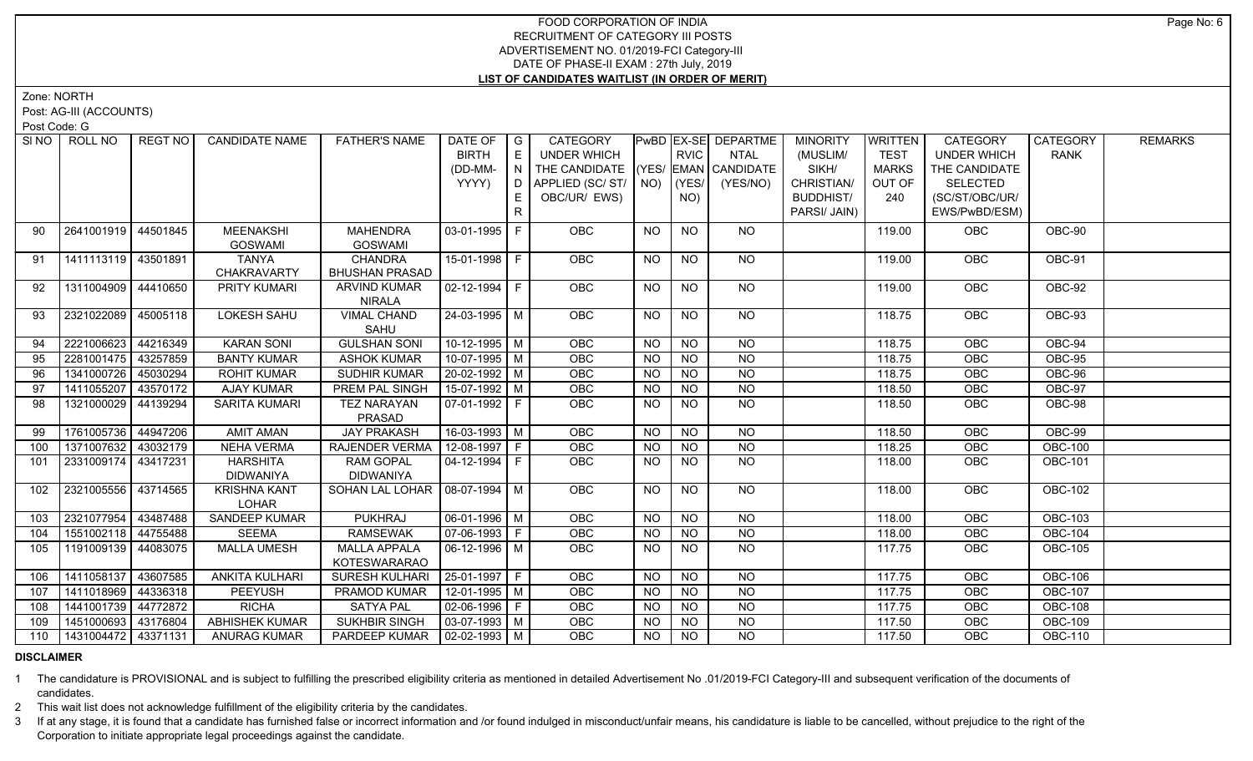Zone: NORTH

Post: AG-III (ACCOUNTS)

Post Code: G

| SI <sub>NO</sub> | ROLL NO               | REGT NO  | <b>CANDIDATE NAME</b> | <b>FATHER'S NAME</b>             | DATE OF                | I G | CATEGORY                           |           |                | PwBD EX-SE DEPARTME | <b>MINORITY</b>  | WRITTEN      | <b>CATEGORY</b>    | CATEGORY       | <b>REMARKS</b> |
|------------------|-----------------------|----------|-----------------------|----------------------------------|------------------------|-----|------------------------------------|-----------|----------------|---------------------|------------------|--------------|--------------------|----------------|----------------|
|                  |                       |          |                       |                                  | <b>BIRTH</b>           | E   | UNDER WHICH                        |           | <b>RVIC</b>    | NTAL                | (MUSLIM/         | <b>TEST</b>  | <b>UNDER WHICH</b> | <b>RANK</b>    |                |
|                  |                       |          |                       |                                  | (DD-MM-                | N   | THE CANDIDATE (YES/ EMAN CANDIDATE |           |                |                     | SIKH/            | <b>MARKS</b> | THE CANDIDATE      |                |                |
|                  |                       |          |                       |                                  | YYYY)                  |     | D   APPLIED (SC/ ST/   NO)         |           | (YES/          | (YES/NO)            | CHRISTIAN/       | OUT OF       | <b>SELECTED</b>    |                |                |
|                  |                       |          |                       |                                  |                        | E.  | OBC/UR/ EWS)                       |           | NO)            |                     | <b>BUDDHIST/</b> | 240          | (SC/ST/OBC/UR/     |                |                |
|                  |                       |          |                       |                                  |                        | R   |                                    |           |                |                     | PARSI/ JAIN)     |              | EWS/PwBD/ESM)      |                |                |
| 90               | 2641001919 44501845   |          | <b>MEENAKSHI</b>      | <b>MAHENDRA</b>                  | 03-01-1995 F           |     | OBC                                | <b>NO</b> | <b>NO</b>      | <b>NO</b>           |                  | 119.00       | OBC                | OBC-90         |                |
|                  |                       |          | <b>GOSWAMI</b>        | <b>GOSWAMI</b>                   |                        |     |                                    |           |                |                     |                  |              |                    |                |                |
| 91               | 1411113119 43501891   |          | <b>TANYA</b>          | <b>CHANDRA</b>                   | 15-01-1998 F           |     | OBC                                | <b>NO</b> | NO.            | NO.                 |                  | 119.00       | OBC                | OBC-91         |                |
|                  |                       |          | <b>CHAKRAVARTY</b>    | <b>BHUSHAN PRASAD</b>            |                        |     |                                    |           |                |                     |                  |              |                    |                |                |
| 92               | 1311004909 44410650   |          | <b>PRITY KUMARI</b>   | <b>ARVIND KUMAR</b>              | 02-12-1994   F         |     | OBC                                | NO.       | NO.            | NO.                 |                  | 119.00       | OBC                | OBC-92         |                |
|                  |                       |          |                       | <b>NIRALA</b>                    |                        |     |                                    |           |                |                     |                  |              |                    |                |                |
| 93               | 2321022089 45005118   |          | <b>LOKESH SAHU</b>    | <b>VIMAL CHAND</b>               | 24-03-1995   M         |     | <b>OBC</b>                         | <b>NO</b> | NO.            | NO                  |                  | 118.75       | <b>OBC</b>         | OBC-93         |                |
|                  |                       |          |                       | SAHU                             |                        |     |                                    |           |                |                     |                  |              |                    |                |                |
| 94               | 2221006623            | 44216349 | <b>KARAN SONI</b>     | <b>GULSHAN SONI</b>              | $10-12-1995$ M         |     | OBC                                | <b>NO</b> | <b>NO</b>      | $N$ <sup>O</sup>    |                  | 118.75       | OBC                | OBC-94         |                |
| 95               | 2281001475 43257859   |          | <b>BANTY KUMAR</b>    | <b>ASHOK KUMAR</b>               | $10-07-1995$ M         |     | OBC                                | <b>NO</b> | <b>NO</b>      | <b>NO</b>           |                  | 118.75       | OBC                | <b>OBC-95</b>  |                |
| 96               | 1341000726 45030294   |          | <b>ROHIT KUMAR</b>    | SUDHIR KUMAR                     | $20-02-1992$ M         |     | OBC                                | <b>NO</b> | <b>NO</b>      | <b>NO</b>           |                  | 118.75       | OBC                | OBC-96         |                |
| 97               | 1411055207            | 43570172 | AJAY KUMAR            | PREM PAL SINGH                   | $15-07-1992$ M         |     | OBC                                | <b>NO</b> | <b>NO</b>      | $N$ O               |                  | 118.50       | OBC                | OBC-97         |                |
| 98               | 1321000029 44139294   |          | <b>SARITA KUMARI</b>  | <b>TEZ NARAYAN</b>               | 07-01-1992   F         |     | <b>OBC</b>                         | <b>NO</b> | <b>NO</b>      | $N$ <sup>O</sup>    |                  | 118.50       | <b>OBC</b>         | OBC-98         |                |
|                  |                       |          |                       | PRASAD                           |                        |     |                                    |           |                |                     |                  |              |                    |                |                |
| 99               | 1761005736            | 44947206 | <b>AMIT AMAN</b>      | <b>JAY PRAKASH</b>               | $16-03-1993$ M         |     | <b>OBC</b>                         | <b>NO</b> | <b>NO</b>      | <b>NO</b>           |                  | 118.50       | OBC                | <b>OBC-99</b>  |                |
| 100              | 1371007632 43032179   |          | <b>NEHA VERMA</b>     | RAJENDER VERMA                   | $12-08-1997$ F         |     | OBC                                | <b>NO</b> | <b>NO</b>      | <b>NO</b>           |                  | 118.25       | OBC                | <b>OBC-100</b> |                |
| 101              | 2331009174 43417231   |          | HARSHITA              | <b>RAM GOPAL</b>                 | 04-12-1994 F           |     | OBC                                | <b>NO</b> | <b>NO</b>      | <b>NO</b>           |                  | 118.00       | OBC                | <b>OBC-101</b> |                |
|                  |                       |          | <b>DIDWANIYA</b>      | <b>DIDWANIYA</b>                 |                        |     |                                    |           |                |                     |                  |              |                    |                |                |
| 102              | 2321005556 43714565   |          | <b>KRISHNA KANT</b>   | SOHAN LAL LOHAR   08-07-1994   M |                        |     | <b>OBC</b>                         | <b>NO</b> | NO.            | NO.                 |                  | 118.00       | OBC                | <b>OBC-102</b> |                |
|                  |                       |          | <b>LOHAR</b>          |                                  |                        |     |                                    |           |                |                     |                  |              |                    |                |                |
| 103              | 2321077954 43487488   |          | SANDEEP KUMAR         | PUKHRAJ                          | $\boxed{06-01-1996}$ M |     | OBC                                | <b>NO</b> | <b>NO</b>      | <b>NO</b>           |                  | 118.00       | OBC                | <b>OBC-103</b> |                |
| 104              | 1551002118 44755488   |          | <b>SEEMA</b>          | <b>RAMSEWAK</b>                  | 07-06-1993   F         |     | OBC                                | <b>NO</b> | <b>NO</b>      | <b>NO</b>           |                  | 118.00       | OBC                | <b>OBC-104</b> |                |
| 105              | 1191009139   44083075 |          | <b>MALLA UMESH</b>    | <b>MALLA APPALA</b>              | 06-12-1996   M         |     | OBC                                | <b>NO</b> | NO.            | <b>NO</b>           |                  | 117.75       | OBC                | <b>OBC-105</b> |                |
|                  |                       |          |                       | KOTESWARARAO                     |                        |     |                                    |           |                |                     |                  |              |                    |                |                |
| 106              | 1411058137 43607585   |          | <b>ANKITA KULHARI</b> | <b>SURESH KULHARI</b>            | $ 25-01-1997 F$        |     | <b>OBC</b>                         | <b>NO</b> | <b>NO</b>      | <b>NO</b>           |                  | 117.75       | OBC                | <b>OBC-106</b> |                |
| 107              | 1411018969 44336318   |          | PEEYUSH               | <b>PRAMOD KUMAR</b>              | 12-01-1995 M           |     | OBC                                | <b>NO</b> | <b>NO</b>      | <b>NO</b>           |                  | 117.75       | OBC                | <b>OBC-107</b> |                |
| 108              | 1441001739 44772872   |          | <b>RICHA</b>          | <b>SATYA PAL</b>                 | 02-06-1996 F           |     | <b>OBC</b>                         | <b>NO</b> | <b>NO</b>      | <b>NO</b>           |                  | 117.75       | OBC                | <b>OBC-108</b> |                |
| 109              | 1451000693 43176804   |          | <b>ABHISHEK KUMAR</b> | <b>SUKHBIR SINGH</b>             | $\sqrt{03-07-1993}$ M  |     | OBC                                | <b>NO</b> | N <sub>O</sub> | $N$ O               |                  | 117.50       | OBC                | <b>OBC-109</b> |                |
| 110              | 1431004472 43371131   |          | <b>ANURAG KUMAR</b>   | PARDEEP KUMAR                    | 02-02-1993   M         |     | OBC                                | NO.       | <b>NO</b>      | <b>NO</b>           |                  | 117.50       | <b>OBC</b>         | <b>OBC-110</b> |                |

# **DISCLAIMER**

1 The candidature is PROVISIONAL and is subject to fulfilling the prescribed eligibility criteria as mentioned in detailed Advertisement No .01/2019-FCI Category-III and subsequent verification of the documents of candidates.

2 This wait list does not acknowledge fulfillment of the eligibility criteria by the candidates.

3 If at any stage, it is found that a candidate has furnished false or incorrect information and /or found indulged in misconduct/unfair means, his candidature is liable to be cancelled, without prejudice to the right of t Corporation to initiate appropriate legal proceedings against the candidate.